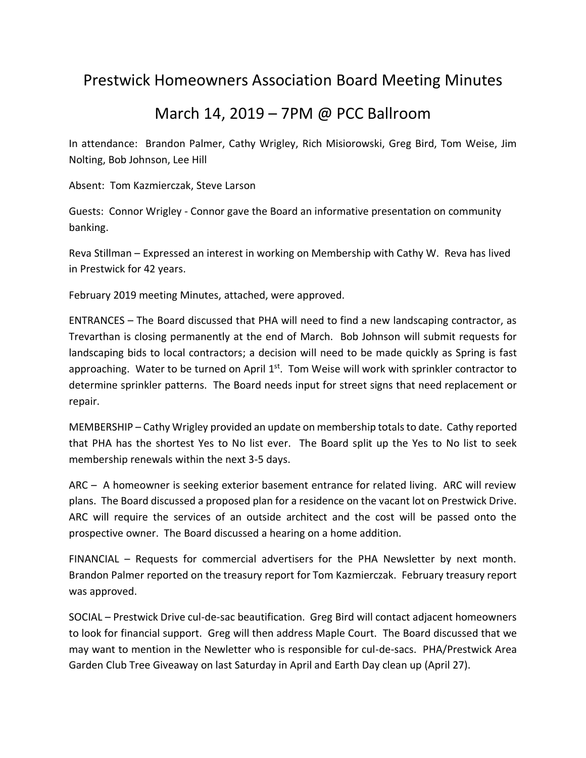## Prestwick Homeowners Association Board Meeting Minutes

## March 14, 2019 – 7PM @ PCC Ballroom

In attendance: Brandon Palmer, Cathy Wrigley, Rich Misiorowski, Greg Bird, Tom Weise, Jim Nolting, Bob Johnson, Lee Hill

Absent: Tom Kazmierczak, Steve Larson

Guests: Connor Wrigley - Connor gave the Board an informative presentation on community banking.

Reva Stillman – Expressed an interest in working on Membership with Cathy W. Reva has lived in Prestwick for 42 years.

February 2019 meeting Minutes, attached, were approved.

ENTRANCES – The Board discussed that PHA will need to find a new landscaping contractor, as Trevarthan is closing permanently at the end of March. Bob Johnson will submit requests for landscaping bids to local contractors; a decision will need to be made quickly as Spring is fast approaching. Water to be turned on April  $1<sup>st</sup>$ . Tom Weise will work with sprinkler contractor to determine sprinkler patterns. The Board needs input for street signs that need replacement or repair.

MEMBERSHIP – Cathy Wrigley provided an update on membership totals to date. Cathy reported that PHA has the shortest Yes to No list ever. The Board split up the Yes to No list to seek membership renewals within the next 3-5 days.

ARC – A homeowner is seeking exterior basement entrance for related living. ARC will review plans. The Board discussed a proposed plan for a residence on the vacant lot on Prestwick Drive. ARC will require the services of an outside architect and the cost will be passed onto the prospective owner. The Board discussed a hearing on a home addition.

FINANCIAL – Requests for commercial advertisers for the PHA Newsletter by next month. Brandon Palmer reported on the treasury report for Tom Kazmierczak. February treasury report was approved.

SOCIAL – Prestwick Drive cul-de-sac beautification. Greg Bird will contact adjacent homeowners to look for financial support. Greg will then address Maple Court. The Board discussed that we may want to mention in the Newletter who is responsible for cul-de-sacs. PHA/Prestwick Area Garden Club Tree Giveaway on last Saturday in April and Earth Day clean up (April 27).